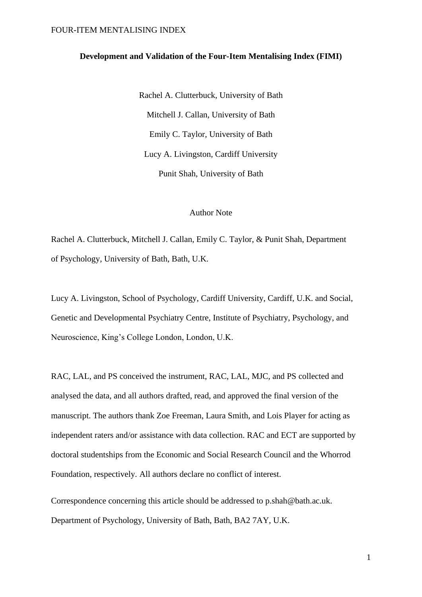### **Development and Validation of the Four-Item Mentalising Index (FIMI)**

Rachel A. Clutterbuck, University of Bath Mitchell J. Callan, University of Bath Emily C. Taylor, University of Bath Lucy A. Livingston, Cardiff University Punit Shah, University of Bath

## Author Note

Rachel A. Clutterbuck, Mitchell J. Callan, Emily C. Taylor, & Punit Shah, Department of Psychology, University of Bath, Bath, U.K.

Lucy A. Livingston, School of Psychology, Cardiff University, Cardiff, U.K. and Social, Genetic and Developmental Psychiatry Centre, Institute of Psychiatry, Psychology, and Neuroscience, King's College London, London, U.K.

RAC, LAL, and PS conceived the instrument, RAC, LAL, MJC, and PS collected and analysed the data, and all authors drafted, read, and approved the final version of the manuscript. The authors thank Zoe Freeman, Laura Smith, and Lois Player for acting as independent raters and/or assistance with data collection. RAC and ECT are supported by doctoral studentships from the Economic and Social Research Council and the Whorrod Foundation, respectively. All authors declare no conflict of interest.

Correspondence concerning this article should be addressed to p.shah@bath.ac.uk. Department of Psychology, University of Bath, Bath, BA2 7AY, U.K.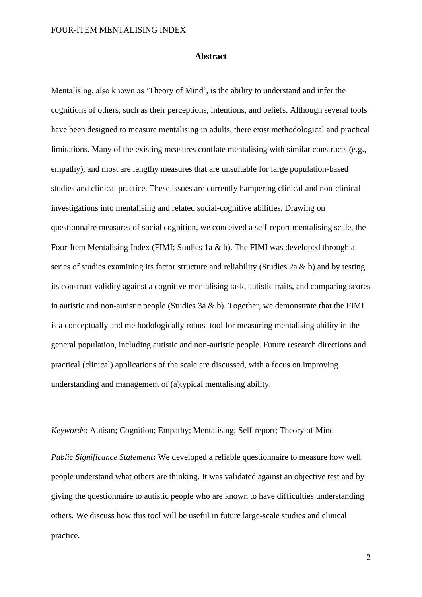### **Abstract**

Mentalising, also known as 'Theory of Mind', is the ability to understand and infer the cognitions of others, such as their perceptions, intentions, and beliefs. Although several tools have been designed to measure mentalising in adults, there exist methodological and practical limitations. Many of the existing measures conflate mentalising with similar constructs (e.g., empathy), and most are lengthy measures that are unsuitable for large population-based studies and clinical practice. These issues are currently hampering clinical and non-clinical investigations into mentalising and related social-cognitive abilities. Drawing on questionnaire measures of social cognition, we conceived a self-report mentalising scale, the Four-Item Mentalising Index (FIMI; Studies 1a & b). The FIMI was developed through a series of studies examining its factor structure and reliability (Studies 2a  $\&$  b) and by testing its construct validity against a cognitive mentalising task, autistic traits, and comparing scores in autistic and non-autistic people (Studies 3a  $\&$  b). Together, we demonstrate that the FIMI is a conceptually and methodologically robust tool for measuring mentalising ability in the general population, including autistic and non-autistic people. Future research directions and practical (clinical) applications of the scale are discussed, with a focus on improving understanding and management of (a)typical mentalising ability.

*Keywords***:** Autism; Cognition; Empathy; Mentalising; Self-report; Theory of Mind

*Public Significance Statement***:** We developed a reliable questionnaire to measure how well people understand what others are thinking. It was validated against an objective test and by giving the questionnaire to autistic people who are known to have difficulties understanding others. We discuss how this tool will be useful in future large-scale studies and clinical practice.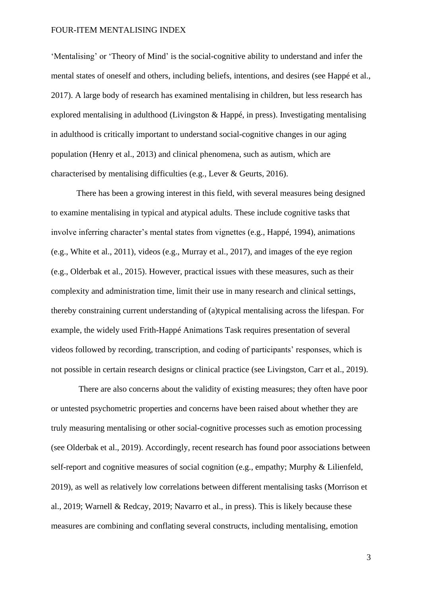'Mentalising' or 'Theory of Mind' is the social-cognitive ability to understand and infer the mental states of oneself and others, including beliefs, intentions, and desires (see Happé et al., 2017). A large body of research has examined mentalising in children, but less research has explored mentalising in adulthood (Livingston & Happé, in press). Investigating mentalising in adulthood is critically important to understand social-cognitive changes in our aging population (Henry et al., 2013) and clinical phenomena, such as autism, which are characterised by mentalising difficulties (e.g., Lever & Geurts, 2016).

There has been a growing interest in this field, with several measures being designed to examine mentalising in typical and atypical adults. These include cognitive tasks that involve inferring character's mental states from vignettes (e.g., Happé, 1994), animations (e.g., White et al., 2011), videos (e.g., Murray et al., 2017), and images of the eye region (e.g., Olderbak et al., 2015). However, practical issues with these measures, such as their complexity and administration time, limit their use in many research and clinical settings, thereby constraining current understanding of (a)typical mentalising across the lifespan. For example, the widely used Frith-Happé Animations Task requires presentation of several videos followed by recording, transcription, and coding of participants' responses, which is not possible in certain research designs or clinical practice (see Livingston, Carr et al., 2019).

There are also concerns about the validity of existing measures; they often have poor or untested psychometric properties and concerns have been raised about whether they are truly measuring mentalising or other social-cognitive processes such as emotion processing (see Olderbak et al., 2019). Accordingly, recent research has found poor associations between self-report and cognitive measures of social cognition (e.g., empathy; Murphy & Lilienfeld, 2019), as well as relatively low correlations between different mentalising tasks (Morrison et al., 2019; Warnell & Redcay, 2019; Navarro et al., in press). This is likely because these measures are combining and conflating several constructs, including mentalising, emotion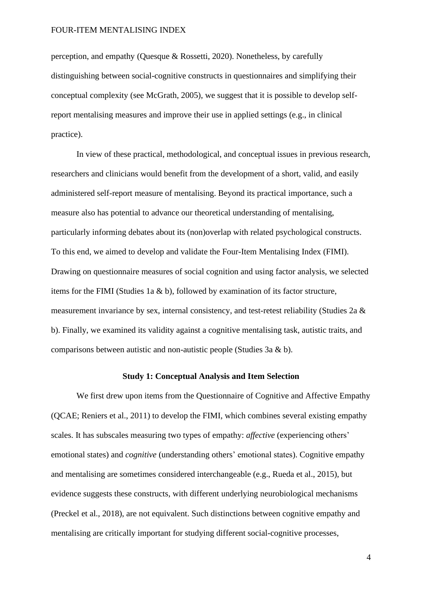perception, and empathy (Quesque & Rossetti, 2020). Nonetheless, by carefully distinguishing between social-cognitive constructs in questionnaires and simplifying their conceptual complexity (see McGrath, 2005), we suggest that it is possible to develop selfreport mentalising measures and improve their use in applied settings (e.g., in clinical practice).

In view of these practical, methodological, and conceptual issues in previous research, researchers and clinicians would benefit from the development of a short, valid, and easily administered self-report measure of mentalising. Beyond its practical importance, such a measure also has potential to advance our theoretical understanding of mentalising, particularly informing debates about its (non)overlap with related psychological constructs. To this end, we aimed to develop and validate the Four-Item Mentalising Index (FIMI). Drawing on questionnaire measures of social cognition and using factor analysis, we selected items for the FIMI (Studies 1a  $\&$  b), followed by examination of its factor structure, measurement invariance by sex, internal consistency, and test-retest reliability (Studies 2a & b). Finally, we examined its validity against a cognitive mentalising task, autistic traits, and comparisons between autistic and non-autistic people (Studies 3a & b).

### **Study 1: Conceptual Analysis and Item Selection**

We first drew upon items from the Questionnaire of Cognitive and Affective Empathy (QCAE; Reniers et al., 2011) to develop the FIMI, which combines several existing empathy scales. It has subscales measuring two types of empathy: *affective* (experiencing others' emotional states) and *cognitive* (understanding others' emotional states). Cognitive empathy and mentalising are sometimes considered interchangeable (e.g., Rueda et al., 2015), but evidence suggests these constructs, with different underlying neurobiological mechanisms (Preckel et al., 2018), are not equivalent. Such distinctions between cognitive empathy and mentalising are critically important for studying different social-cognitive processes,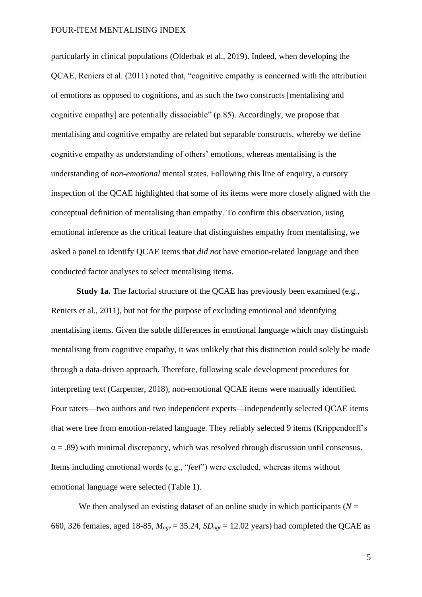particularly in clinical populations (Olderbak et al., 2019). Indeed, when developing the QCAE, Reniers et al. (2011) noted that, "cognitive empathy is concerned with the attribution of emotions as opposed to cognitions, and as such the two constructs [mentalising and cognitive empathy] are potentially dissociable" (p.85). Accordingly, we propose that mentalising and cognitive empathy are related but separable constructs, whereby we define cognitive empathy as understanding of others' emotions, whereas mentalising is the understanding of *non-emotional* mental states. Following this line of enquiry, a cursory inspection of the QCAE highlighted that some of its items were more closely aligned with the conceptual definition of mentalising than empathy. To confirm this observation, using emotional inference as the critical feature that distinguishes empathy from mentalising, we asked a panel to identify QCAE items that *did not* have emotion-related language and then conducted factor analyses to select mentalising items.

**Study 1a.** The factorial structure of the OCAE has previously been examined (e.g., Reniers et al., 2011), but not for the purpose of excluding emotional and identifying mentalising items. Given the subtle differences in emotional language which may distinguish mentalising from cognitive empathy, it was unlikely that this distinction could solely be made through a data-driven approach. Therefore, following scale development procedures for interpreting text (Carpenter, 2018), non-emotional QCAE items were manually identified. Four raters—two authors and two independent experts—independently selected QCAE items that were free from emotion-related language. They reliably selected 9 items (Krippendorff's  $\alpha$  = .89) with minimal discrepancy, which was resolved through discussion until consensus. Items including emotional words (e.g., "*feel*") were excluded, whereas items without emotional language were selected (Table 1).

We then analysed an existing dataset of an online study in which participants ( $N =$ 660, 326 females, aged 18-85,  $M_{age} = 35.24$ ,  $SD_{age} = 12.02$  years) had completed the QCAE as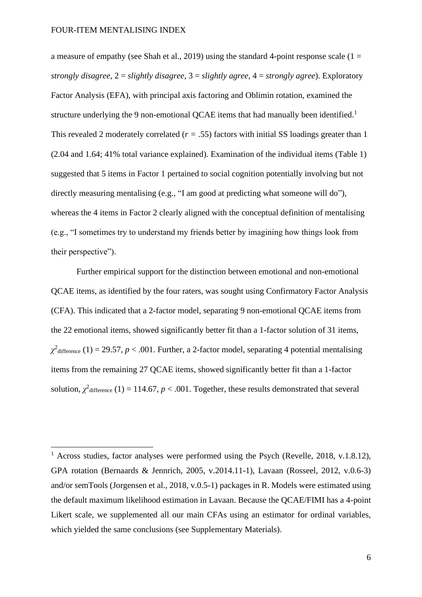a measure of empathy (see Shah et al., 2019) using the standard 4-point response scale ( $1 =$ *strongly disagree*, 2 = *slightly disagree*, 3 = *slightly agree*, 4 = *strongly agree*). Exploratory Factor Analysis (EFA), with principal axis factoring and Oblimin rotation, examined the structure underlying the 9 non-emotional QCAE items that had manually been identified.<sup>1</sup> This revealed 2 moderately correlated (*r =* .55) factors with initial SS loadings greater than 1 (2.04 and 1.64; 41% total variance explained). Examination of the individual items (Table 1) suggested that 5 items in Factor 1 pertained to social cognition potentially involving but not directly measuring mentalising (e.g., "I am good at predicting what someone will do"), whereas the 4 items in Factor 2 clearly aligned with the conceptual definition of mentalising (e.g., "I sometimes try to understand my friends better by imagining how things look from their perspective").

Further empirical support for the distinction between emotional and non-emotional QCAE items, as identified by the four raters, was sought using Confirmatory Factor Analysis (CFA). This indicated that a 2-factor model, separating 9 non-emotional QCAE items from the 22 emotional items, showed significantly better fit than a 1-factor solution of 31 items,  $\chi^2$ <sub>difference (1) = 29.57, *p* < .001. Further, a 2-factor model, separating 4 potential mentalising</sub> items from the remaining 27 QCAE items, showed significantly better fit than a 1-factor solution,  $\chi^2$ <sub>difference</sub> (1) = 114.67, *p* < .001. Together, these results demonstrated that several

<sup>&</sup>lt;sup>1</sup> Across studies, factor analyses were performed using the Psych (Revelle, 2018, v.1.8.12), GPA rotation (Bernaards & Jennrich, 2005, v.2014.11-1), Lavaan (Rosseel, 2012, v.0.6-3) and/or semTools (Jorgensen et al., 2018, v.0.5-1) packages in R. Models were estimated using the default maximum likelihood estimation in Lavaan. Because the QCAE/FIMI has a 4-point Likert scale, we supplemented all our main CFAs using an estimator for ordinal variables, which yielded the same conclusions (see Supplementary Materials).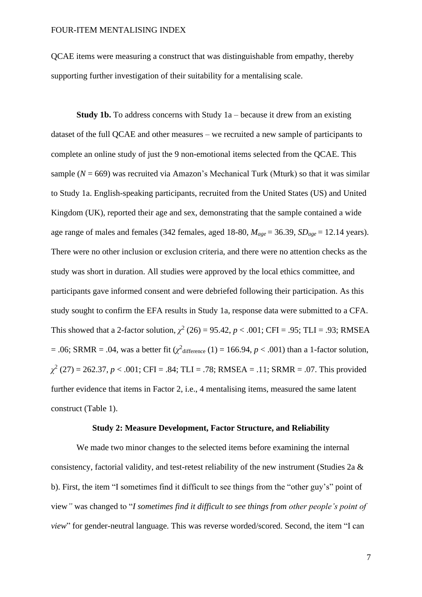QCAE items were measuring a construct that was distinguishable from empathy, thereby supporting further investigation of their suitability for a mentalising scale.

**Study 1b.** To address concerns with Study 1a – because it drew from an existing dataset of the full QCAE and other measures – we recruited a new sample of participants to complete an online study of just the 9 non-emotional items selected from the QCAE. This sample  $(N = 669)$  was recruited via Amazon's Mechanical Turk (Mturk) so that it was similar to Study 1a. English-speaking participants, recruited from the United States (US) and United Kingdom (UK), reported their age and sex, demonstrating that the sample contained a wide age range of males and females (342 females, aged 18-80,  $M_{age} = 36.39$ ,  $SD_{age} = 12.14$  years). There were no other inclusion or exclusion criteria, and there were no attention checks as the study was short in duration. All studies were approved by the local ethics committee, and participants gave informed consent and were debriefed following their participation. As this study sought to confirm the EFA results in Study 1a, response data were submitted to a CFA. This showed that a 2-factor solution,  $\chi^2$  (26) = 95.42,  $p < .001$ ; CFI = .95; TLI = .93; RMSEA  $= .06$ ; SRMR  $= .04$ , was a better fit ( $\chi^2$ <sub>difference</sub> (1)  $= 166.94$ ,  $p < .001$ ) than a 1-factor solution,  $\chi^2$  (27) = 262.37, *p* < .001; CFI = .84; TLI = .78; RMSEA = .11; SRMR = .07. This provided further evidence that items in Factor 2, i.e., 4 mentalising items, measured the same latent construct (Table 1).

#### **Study 2: Measure Development, Factor Structure, and Reliability**

We made two minor changes to the selected items before examining the internal consistency, factorial validity, and test-retest reliability of the new instrument (Studies 2a & b). First, the item "I sometimes find it difficult to see things from the "other guy's" point of view*"* was changed to "*I sometimes find it difficult to see things from other people's point of view*" for gender-neutral language. This was reverse worded/scored. Second, the item "I can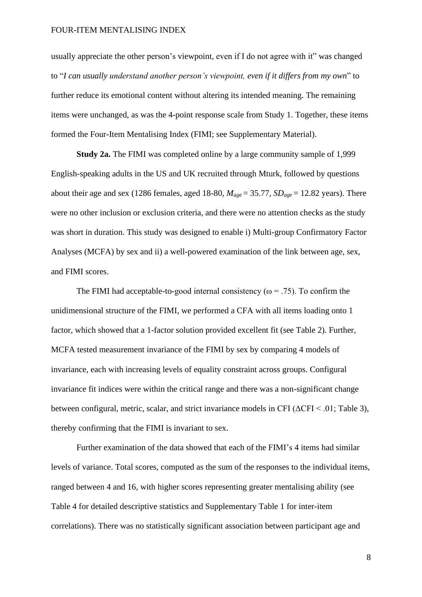usually appreciate the other person's viewpoint, even if I do not agree with it" was changed to "*I can usually understand another person's viewpoint, even if it differs from my own*" to further reduce its emotional content without altering its intended meaning. The remaining items were unchanged, as was the 4-point response scale from Study 1. Together, these items formed the Four-Item Mentalising Index (FIMI; see Supplementary Material).

**Study 2a.** The FIMI was completed online by a large community sample of 1,999 English-speaking adults in the US and UK recruited through Mturk, followed by questions about their age and sex (1286 females, aged 18-80,  $M_{age} = 35.77$ ,  $SD_{age} = 12.82$  years). There were no other inclusion or exclusion criteria, and there were no attention checks as the study was short in duration. This study was designed to enable i) Multi-group Confirmatory Factor Analyses (MCFA) by sex and ii) a well-powered examination of the link between age, sex, and FIMI scores.

The FIMI had acceptable-to-good internal consistency ( $\omega$  = .75). To confirm the unidimensional structure of the FIMI, we performed a CFA with all items loading onto 1 factor, which showed that a 1-factor solution provided excellent fit (see Table 2). Further, MCFA tested measurement invariance of the FIMI by sex by comparing 4 models of invariance, each with increasing levels of equality constraint across groups. Configural invariance fit indices were within the critical range and there was a non-significant change between configural, metric, scalar, and strict invariance models in CFI ( $\triangle$ CFI < .01; Table 3), thereby confirming that the FIMI is invariant to sex.

Further examination of the data showed that each of the FIMI's 4 items had similar levels of variance. Total scores, computed as the sum of the responses to the individual items, ranged between 4 and 16, with higher scores representing greater mentalising ability (see Table 4 for detailed descriptive statistics and Supplementary Table 1 for inter-item correlations). There was no statistically significant association between participant age and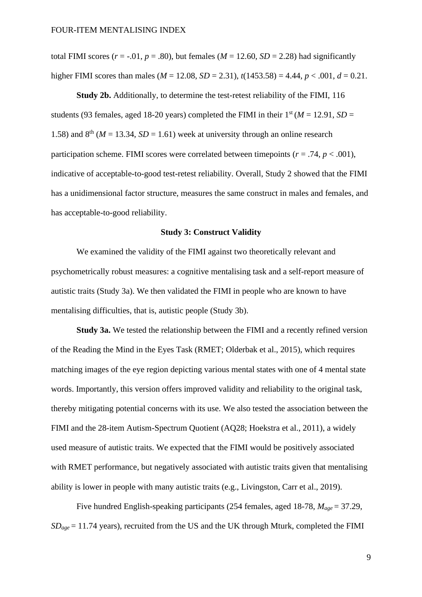total FIMI scores  $(r = -0.01, p = .80)$ , but females  $(M = 12.60, SD = 2.28)$  had significantly higher FIMI scores than males ( $M = 12.08$ ,  $SD = 2.31$ ),  $t(1453.58) = 4.44$ ,  $p < .001$ ,  $d = 0.21$ .

**Study 2b.** Additionally, to determine the test-retest reliability of the FIMI, 116 students (93 females, aged 18-20 years) completed the FIMI in their  $1<sup>st</sup> (M = 12.91, SD =$ 1.58) and  $8<sup>th</sup>$  ( $M = 13.34$ ,  $SD = 1.61$ ) week at university through an online research participation scheme. FIMI scores were correlated between timepoints ( $r = .74$ ,  $p < .001$ ), indicative of acceptable-to-good test-retest reliability. Overall, Study 2 showed that the FIMI has a unidimensional factor structure, measures the same construct in males and females, and has acceptable-to-good reliability.

### **Study 3: Construct Validity**

We examined the validity of the FIMI against two theoretically relevant and psychometrically robust measures: a cognitive mentalising task and a self-report measure of autistic traits (Study 3a). We then validated the FIMI in people who are known to have mentalising difficulties, that is, autistic people (Study 3b).

**Study 3a.** We tested the relationship between the FIMI and a recently refined version of the Reading the Mind in the Eyes Task (RMET; Olderbak et al., 2015), which requires matching images of the eye region depicting various mental states with one of 4 mental state words. Importantly, this version offers improved validity and reliability to the original task, thereby mitigating potential concerns with its use. We also tested the association between the FIMI and the 28-item Autism-Spectrum Quotient (AQ28; Hoekstra et al., 2011), a widely used measure of autistic traits. We expected that the FIMI would be positively associated with RMET performance, but negatively associated with autistic traits given that mentalising ability is lower in people with many autistic traits (e.g., Livingston, Carr et al., 2019).

Five hundred English-speaking participants (254 females, aged 18-78, *Mage* = 37.29,  $SD<sub>ave</sub> = 11.74$  years), recruited from the US and the UK through Mturk, completed the FIMI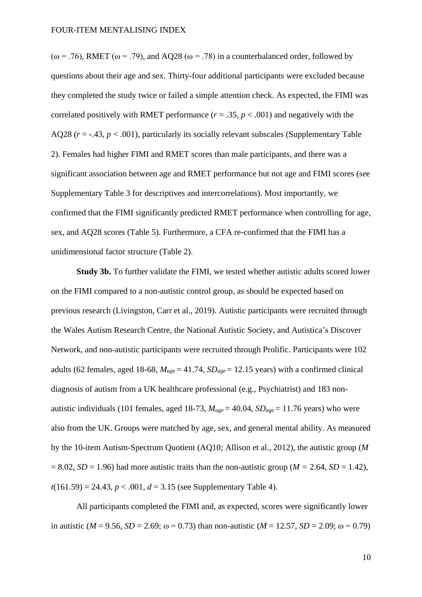( $\omega$  = .76), RMET ( $\omega$  = .79), and AQ28 ( $\omega$  = .78) in a counterbalanced order, followed by questions about their age and sex. Thirty-four additional participants were excluded because they completed the study twice or failed a simple attention check. As expected, the FIMI was correlated positively with RMET performance  $(r = .35, p < .001)$  and negatively with the AQ28  $(r = -.43, p < .001)$ , particularly its socially relevant subscales (Supplementary Table 2). Females had higher FIMI and RMET scores than male participants, and there was a significant association between age and RMET performance but not age and FIMI scores (see Supplementary Table 3 for descriptives and intercorrelations). Most importantly, we confirmed that the FIMI significantly predicted RMET performance when controlling for age, sex, and AQ28 scores (Table 5). Furthermore, a CFA re-confirmed that the FIMI has a unidimensional factor structure (Table 2).

**Study 3b.** To further validate the FIMI, we tested whether autistic adults scored lower on the FIMI compared to a non-autistic control group, as should be expected based on previous research (Livingston, Carr et al., 2019). Autistic participants were recruited through the Wales Autism Research Centre, the National Autistic Society*,* and Autistica's Discover Network, and non-autistic participants were recruited through Prolific. Participants were 102 adults (62 females, aged 18-68,  $M_{\text{age}} = 41.74$ ,  $SD_{\text{age}} = 12.15$  years) with a confirmed clinical diagnosis of autism from a UK healthcare professional (e.g., Psychiatrist) and 183 nonautistic individuals (101 females, aged 18-73,  $M_{\text{age}} = 40.04$ ,  $SD_{\text{age}} = 11.76$  years) who were also from the UK. Groups were matched by age, sex, and general mental ability. As measured by the 10-item Autism-Spectrum Quotient (AQ10; Allison et al., 2012), the autistic group (*M*  $= 8.02$ , *SD* = 1.96) had more autistic traits than the non-autistic group (*M* = 2.64, *SD* = 1.42),  $t(161.59) = 24.43$ ,  $p < .001$ ,  $d = 3.15$  (see Supplementary Table 4).

All participants completed the FIMI and, as expected, scores were significantly lower in autistic ( $M = 9.56$ ,  $SD = 2.69$ ;  $\omega = 0.73$ ) than non-autistic ( $M = 12.57$ ,  $SD = 2.09$ ;  $\omega = 0.79$ )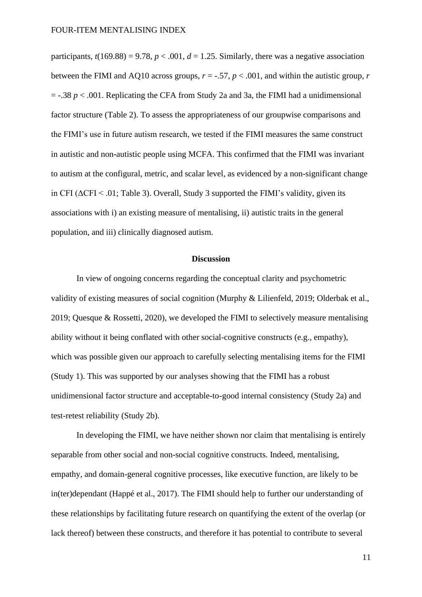participants,  $t(169.88) = 9.78$ ,  $p < .001$ ,  $d = 1.25$ . Similarly, there was a negative association between the FIMI and AQ10 across groups,  $r = -.57$ ,  $p < .001$ , and within the autistic group, r  $=$  -.38  $p < .001$ . Replicating the CFA from Study 2a and 3a, the FIMI had a unidimensional factor structure (Table 2). To assess the appropriateness of our groupwise comparisons and the FIMI's use in future autism research, we tested if the FIMI measures the same construct in autistic and non-autistic people using MCFA. This confirmed that the FIMI was invariant to autism at the configural, metric, and scalar level, as evidenced by a non-significant change in CFI ( $\Delta$ CFI < .01; Table 3). Overall, Study 3 supported the FIMI's validity, given its associations with i) an existing measure of mentalising, ii) autistic traits in the general population, and iii) clinically diagnosed autism.

### **Discussion**

In view of ongoing concerns regarding the conceptual clarity and psychometric validity of existing measures of social cognition (Murphy & Lilienfeld, 2019; Olderbak et al., 2019; Quesque & Rossetti, 2020), we developed the FIMI to selectively measure mentalising ability without it being conflated with other social-cognitive constructs (e.g., empathy), which was possible given our approach to carefully selecting mentalising items for the FIMI (Study 1). This was supported by our analyses showing that the FIMI has a robust unidimensional factor structure and acceptable-to-good internal consistency (Study 2a) and test-retest reliability (Study 2b).

In developing the FIMI, we have neither shown nor claim that mentalising is entirely separable from other social and non-social cognitive constructs. Indeed, mentalising, empathy, and domain-general cognitive processes, like executive function, are likely to be in(ter)dependant (Happé et al., 2017). The FIMI should help to further our understanding of these relationships by facilitating future research on quantifying the extent of the overlap (or lack thereof) between these constructs, and therefore it has potential to contribute to several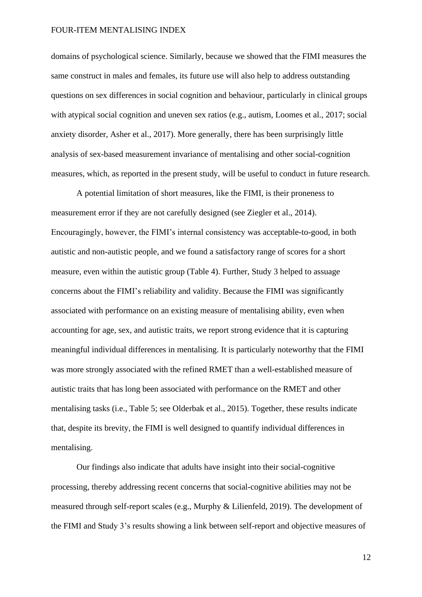domains of psychological science. Similarly, because we showed that the FIMI measures the same construct in males and females, its future use will also help to address outstanding questions on sex differences in social cognition and behaviour, particularly in clinical groups with atypical social cognition and uneven sex ratios (e.g., autism, Loomes et al., 2017; social anxiety disorder, Asher et al., 2017). More generally, there has been surprisingly little analysis of sex-based measurement invariance of mentalising and other social-cognition measures, which, as reported in the present study, will be useful to conduct in future research.

A potential limitation of short measures, like the FIMI, is their proneness to measurement error if they are not carefully designed (see Ziegler et al., 2014). Encouragingly, however, the FIMI's internal consistency was acceptable-to-good, in both autistic and non-autistic people, and we found a satisfactory range of scores for a short measure, even within the autistic group (Table 4). Further, Study 3 helped to assuage concerns about the FIMI's reliability and validity. Because the FIMI was significantly associated with performance on an existing measure of mentalising ability, even when accounting for age, sex, and autistic traits, we report strong evidence that it is capturing meaningful individual differences in mentalising. It is particularly noteworthy that the FIMI was more strongly associated with the refined RMET than a well-established measure of autistic traits that has long been associated with performance on the RMET and other mentalising tasks (i.e., Table 5; see Olderbak et al., 2015). Together, these results indicate that, despite its brevity, the FIMI is well designed to quantify individual differences in mentalising.

Our findings also indicate that adults have insight into their social-cognitive processing, thereby addressing recent concerns that social-cognitive abilities may not be measured through self-report scales (e.g., Murphy & Lilienfeld, 2019). The development of the FIMI and Study 3's results showing a link between self-report and objective measures of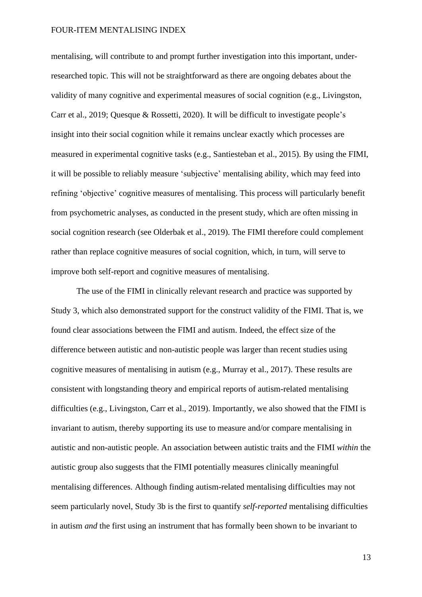mentalising, will contribute to and prompt further investigation into this important, underresearched topic. This will not be straightforward as there are ongoing debates about the validity of many cognitive and experimental measures of social cognition (e.g., Livingston, Carr et al., 2019; Quesque & Rossetti, 2020). It will be difficult to investigate people's insight into their social cognition while it remains unclear exactly which processes are measured in experimental cognitive tasks (e.g., Santiesteban et al., 2015). By using the FIMI, it will be possible to reliably measure 'subjective' mentalising ability, which may feed into refining 'objective' cognitive measures of mentalising. This process will particularly benefit from psychometric analyses, as conducted in the present study, which are often missing in social cognition research (see Olderbak et al., 2019). The FIMI therefore could complement rather than replace cognitive measures of social cognition, which, in turn, will serve to improve both self-report and cognitive measures of mentalising.

The use of the FIMI in clinically relevant research and practice was supported by Study 3, which also demonstrated support for the construct validity of the FIMI. That is, we found clear associations between the FIMI and autism. Indeed, the effect size of the difference between autistic and non-autistic people was larger than recent studies using cognitive measures of mentalising in autism (e.g., Murray et al., 2017). These results are consistent with longstanding theory and empirical reports of autism-related mentalising difficulties (e.g., Livingston, Carr et al., 2019). Importantly, we also showed that the FIMI is invariant to autism, thereby supporting its use to measure and/or compare mentalising in autistic and non-autistic people. An association between autistic traits and the FIMI *within* the autistic group also suggests that the FIMI potentially measures clinically meaningful mentalising differences. Although finding autism-related mentalising difficulties may not seem particularly novel, Study 3b is the first to quantify *self-reported* mentalising difficulties in autism *and* the first using an instrument that has formally been shown to be invariant to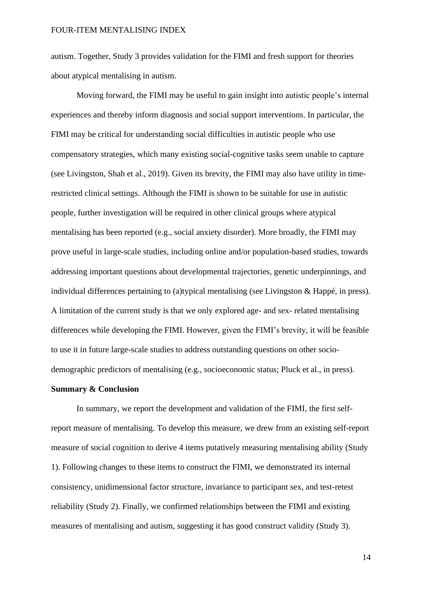autism. Together, Study 3 provides validation for the FIMI and fresh support for theories about atypical mentalising in autism.

Moving forward, the FIMI may be useful to gain insight into autistic people's internal experiences and thereby inform diagnosis and social support interventions. In particular, the FIMI may be critical for understanding social difficulties in autistic people who use compensatory strategies, which many existing social-cognitive tasks seem unable to capture (see Livingston, Shah et al., 2019). Given its brevity, the FIMI may also have utility in timerestricted clinical settings. Although the FIMI is shown to be suitable for use in autistic people, further investigation will be required in other clinical groups where atypical mentalising has been reported (e.g., social anxiety disorder). More broadly, the FIMI may prove useful in large-scale studies, including online and/or population-based studies, towards addressing important questions about developmental trajectories, genetic underpinnings, and individual differences pertaining to (a)typical mentalising (see Livingston & Happé, in press). A limitation of the current study is that we only explored age- and sex- related mentalising differences while developing the FIMI. However, given the FIMI's brevity, it will be feasible to use it in future large-scale studies to address outstanding questions on other sociodemographic predictors of mentalising (e.g., socioeconomic status; Pluck et al., in press).

### **Summary & Conclusion**

In summary, we report the development and validation of the FIMI, the first selfreport measure of mentalising. To develop this measure, we drew from an existing self-report measure of social cognition to derive 4 items putatively measuring mentalising ability (Study 1). Following changes to these items to construct the FIMI, we demonstrated its internal consistency, unidimensional factor structure, invariance to participant sex, and test-retest reliability (Study 2). Finally, we confirmed relationships between the FIMI and existing measures of mentalising and autism, suggesting it has good construct validity (Study 3).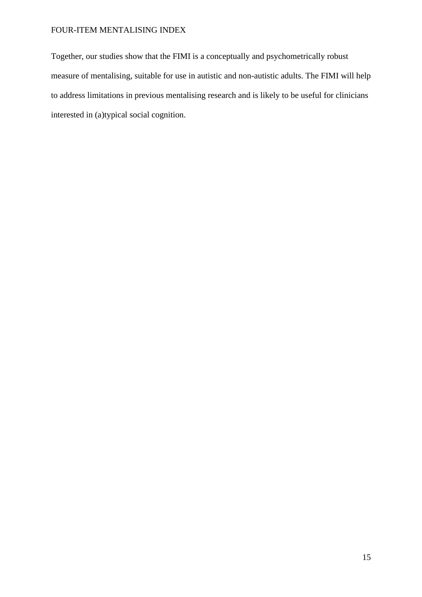Together, our studies show that the FIMI is a conceptually and psychometrically robust measure of mentalising, suitable for use in autistic and non-autistic adults. The FIMI will help to address limitations in previous mentalising research and is likely to be useful for clinicians interested in (a)typical social cognition.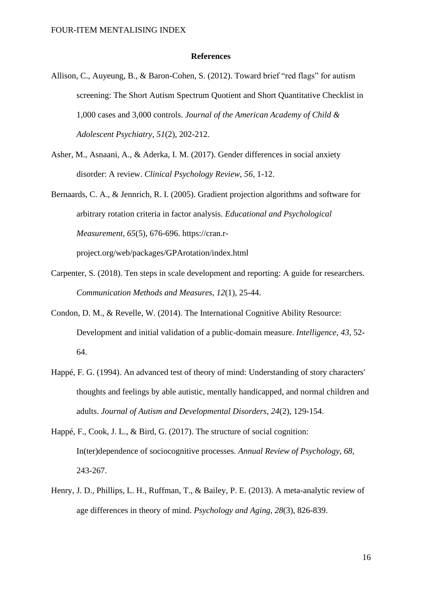### **References**

- Allison, C., Auyeung, B., & Baron-Cohen, S. (2012). Toward brief "red flags" for autism screening: The Short Autism Spectrum Quotient and Short Quantitative Checklist in 1,000 cases and 3,000 controls. *Journal of the American Academy of Child & Adolescent Psychiatry*, *51*(2), 202-212.
- Asher, M., Asnaani, A., & Aderka, I. M. (2017). Gender differences in social anxiety disorder: A review. *Clinical Psychology Review*, *56*, 1-12.
- Bernaards, C. A., & Jennrich, R. I. (2005). Gradient projection algorithms and software for arbitrary rotation criteria in factor analysis. *Educational and Psychological Measurement*, *65*(5), 676-696. https://cran.r-

project.org/web/packages/GPArotation/index.html

- Carpenter, S. (2018). Ten steps in scale development and reporting: A guide for researchers. *Communication Methods and Measures*, *12*(1), 25-44.
- Condon, D. M., & Revelle, W. (2014). The International Cognitive Ability Resource: Development and initial validation of a public-domain measure. *Intelligence*, *43*, 52- 64.
- Happé, F. G. (1994). An advanced test of theory of mind: Understanding of story characters' thoughts and feelings by able autistic, mentally handicapped, and normal children and adults. *Journal of Autism and Developmental Disorders*, *24*(2), 129-154.
- Happé, F., Cook, J. L., & Bird, G. (2017). The structure of social cognition: In(ter)dependence of sociocognitive processes. *Annual Review of Psychology*, *68*, 243-267.
- Henry, J. D., Phillips, L. H., Ruffman, T., & Bailey, P. E. (2013). A meta-analytic review of age differences in theory of mind. *Psychology and Aging*, *28*(3), 826-839.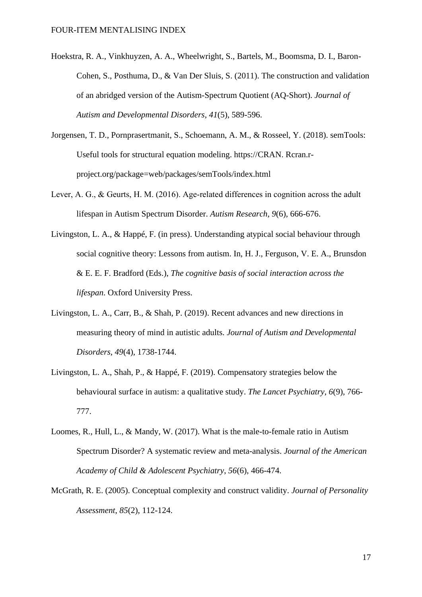- Hoekstra, R. A., Vinkhuyzen, A. A., Wheelwright, S., Bartels, M., Boomsma, D. I., Baron-Cohen, S., Posthuma, D., & Van Der Sluis, S. (2011). The construction and validation of an abridged version of the Autism-Spectrum Quotient (AQ-Short). *Journal of Autism and Developmental Disorders*, *41*(5), 589-596.
- Jorgensen, T. D., Pornprasertmanit, S., Schoemann, A. M., & Rosseel, Y. (2018). semTools: Useful tools for structural equation modeling. https://CRAN. Rcran.rproject.org/package=web/packages/semTools/index.html
- Lever, A. G., & Geurts, H. M. (2016). Age-related differences in cognition across the adult lifespan in Autism Spectrum Disorder. *Autism Research*, *9*(6), 666-676.
- Livingston, L. A., & Happé, F. (in press). Understanding atypical social behaviour through social cognitive theory: Lessons from autism. In, H. J., Ferguson, V. E. A., Brunsdon & E. E. F. Bradford (Eds.), *The cognitive basis of social interaction across the lifespan*. Oxford University Press.
- Livingston, L. A., Carr, B., & Shah, P. (2019). Recent advances and new directions in measuring theory of mind in autistic adults. *Journal of Autism and Developmental Disorders*, *49*(4), 1738-1744.
- Livingston, L. A., Shah, P., & Happé, F. (2019). Compensatory strategies below the behavioural surface in autism: a qualitative study. *The Lancet Psychiatry*, *6*(9), 766- 777.
- Loomes, R., Hull, L., & Mandy, W. (2017). What is the male-to-female ratio in Autism Spectrum Disorder? A systematic review and meta-analysis. *Journal of the American Academy of Child & Adolescent Psychiatry*, *56*(6), 466-474.
- McGrath, R. E. (2005). Conceptual complexity and construct validity. *Journal of Personality Assessment*, *85*(2), 112-124.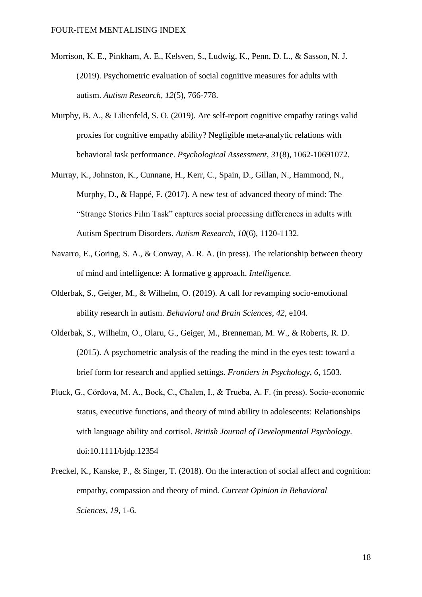- Morrison, K. E., Pinkham, A. E., Kelsven, S., Ludwig, K., Penn, D. L., & Sasson, N. J. (2019). Psychometric evaluation of social cognitive measures for adults with autism. *Autism Research*, *12*(5), 766-778.
- Murphy, B. A., & Lilienfeld, S. O. (2019). Are self-report cognitive empathy ratings valid proxies for cognitive empathy ability? Negligible meta-analytic relations with behavioral task performance. *Psychological Assessment*, *31*(8), 1062-10691072.
- Murray, K., Johnston, K., Cunnane, H., Kerr, C., Spain, D., Gillan, N., Hammond, N., Murphy, D., & Happé, F. (2017). A new test of advanced theory of mind: The "Strange Stories Film Task" captures social processing differences in adults with Autism Spectrum Disorders. *Autism Research*, *10*(6), 1120-1132.
- Navarro, E., Goring, S. A., & Conway, A. R. A. (in press). The relationship between theory of mind and intelligence: A formative g approach. *Intelligence.*
- Olderbak, S., Geiger, M., & Wilhelm, O. (2019). A call for revamping socio-emotional ability research in autism. *Behavioral and Brain Sciences*, *42,* e104.
- Olderbak, S., Wilhelm, O., Olaru, G., Geiger, M., Brenneman, M. W., & Roberts, R. D. (2015). A psychometric analysis of the reading the mind in the eyes test: toward a brief form for research and applied settings. *Frontiers in Psychology*, *6*, 1503.
- Pluck, G., Córdova, M. A., Bock, C., Chalen, I., & Trueba, A. F. (in press). Socio‐economic status, executive functions, and theory of mind ability in adolescents: Relationships with language ability and cortisol. *British Journal of Developmental Psychology*. doi[:10.1111/bjdp.12354](https://doi.org/10.1111/bjdp.12354)
- Preckel, K., Kanske, P., & Singer, T. (2018). On the interaction of social affect and cognition: empathy, compassion and theory of mind. *Current Opinion in Behavioral Sciences*, *19*, 1-6.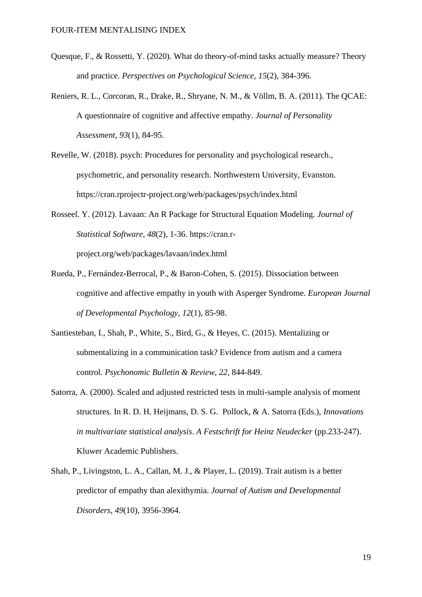- Quesque, F., & Rossetti, Y. (2020). What do theory-of-mind tasks actually measure? Theory and practice. *Perspectives on Psychological Science*, *15*(2), 384-396.
- Reniers, R. L., Corcoran, R., Drake, R., Shryane, N. M., & Völlm, B. A. (2011). The QCAE: A questionnaire of cognitive and affective empathy. *Journal of Personality Assessment*, *93*(1), 84-95.
- Revelle, W. (2018). psych: Procedures for personality and psychological research., psychometric, and personality research. Northwestern University, Evanston. https://cran.rprojectr-project.org/web/packages/psych/index.html
- Rosseel. Y. (2012). Lavaan: An R Package for Structural Equation Modeling. *Journal of Statistical Software*, *48*(2), 1-36. https://cran.rproject.org/web/packages/lavaan/index.html
- Rueda, P., Fernández-Berrocal, P., & Baron-Cohen, S. (2015). Dissociation between cognitive and affective empathy in youth with Asperger Syndrome. *European Journal of Developmental Psychology*, *12*(1), 85-98.
- Santiesteban, I., Shah, P., White, S., Bird, G., & Heyes, C. (2015). Mentalizing or submentalizing in a communication task? Evidence from autism and a camera control. *Psychonomic Bulletin & Review*, *22*, 844-849.
- Satorra, A. (2000). Scaled and adjusted restricted tests in multi-sample analysis of moment structures. In R. D. H. Heijmans, D. S. G. Pollock, & A. Satorra (Eds.), *Innovations in multivariate statistical analysis*. *A Festschrift for Heinz Neudecker* (pp.233-247). Kluwer Academic Publishers.
- Shah, P., Livingston, L. A., Callan, M. J., & Player, L. (2019). Trait autism is a better predictor of empathy than alexithymia. *Journal of Autism and Developmental Disorders*, *49*(10), 3956-3964.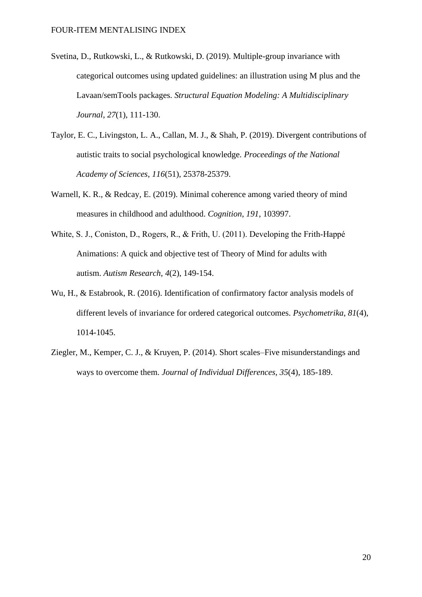- Svetina, D., Rutkowski, L., & Rutkowski, D. (2019). Multiple-group invariance with categorical outcomes using updated guidelines: an illustration using M plus and the Lavaan/semTools packages. *Structural Equation Modeling: A Multidisciplinary Journal*, *27*(1), 111-130.
- Taylor, E. C., Livingston, L. A., Callan, M. J., & Shah, P. (2019). Divergent contributions of autistic traits to social psychological knowledge. *Proceedings of the National Academy of Sciences*, *116*(51), 25378-25379.
- Warnell, K. R., & Redcay, E. (2019). Minimal coherence among varied theory of mind measures in childhood and adulthood. *Cognition*, *191*, 103997.
- White, S. J., Coniston, D., Rogers, R., & Frith, U. (2011). Developing the Frith-Happé Animations: A quick and objective test of Theory of Mind for adults with autism. *Autism Research*, *4*(2), 149-154.
- Wu, H., & Estabrook, R. (2016). Identification of confirmatory factor analysis models of different levels of invariance for ordered categorical outcomes. *Psychometrika*, *81*(4), 1014-1045.
- Ziegler, M., Kemper, C. J., & Kruyen, P. (2014). Short scales–Five misunderstandings and ways to overcome them. *Journal of Individual Differences*, *35*(4), 185-189.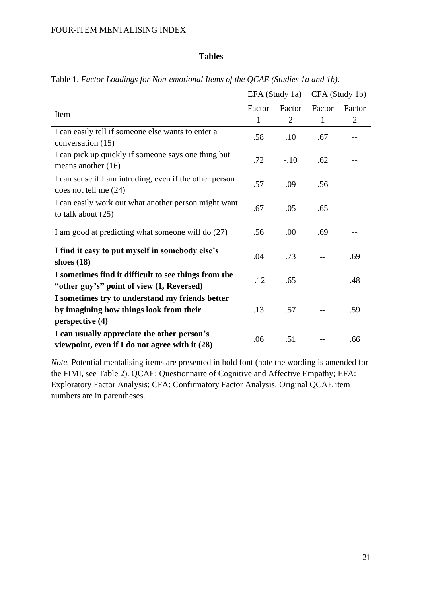## **Tables**

|                                                                                                   |              | EFA (Study 1a) | CFA (Study 1b) |                |  |
|---------------------------------------------------------------------------------------------------|--------------|----------------|----------------|----------------|--|
| Item                                                                                              | Factor       | Factor         | Factor         | Factor         |  |
|                                                                                                   | $\mathbf{1}$ | $\overline{2}$ | 1              | $\overline{2}$ |  |
| I can easily tell if someone else wants to enter a<br>conversation (15)                           | .58          | .10            | .67            |                |  |
| I can pick up quickly if someone says one thing but<br>means another $(16)$                       | .72          | $-.10$         | .62            |                |  |
| I can sense if I am intruding, even if the other person<br>does not tell me $(24)$                | .57          | .09            | .56            |                |  |
| I can easily work out what another person might want<br>to talk about $(25)$                      | .67          | .05            | .65            |                |  |
| I am good at predicting what someone will do (27)                                                 | .56          | .00            | .69            |                |  |
| I find it easy to put myself in somebody else's<br>shoes $(18)$                                   | .04          | .73            |                | .69            |  |
| I sometimes find it difficult to see things from the<br>"other guy's" point of view (1, Reversed) | $-.12$       | .65            |                | .48            |  |
| I sometimes try to understand my friends better                                                   |              |                |                |                |  |
| by imagining how things look from their                                                           | .13          | .57            |                | .59            |  |
| perspective (4)                                                                                   |              |                |                |                |  |
| I can usually appreciate the other person's<br>viewpoint, even if I do not agree with it $(28)$   | .06          | .51            |                | .66            |  |

Table 1. *Factor Loadings for Non-emotional Items of the QCAE (Studies 1a and 1b).*

*Note.* Potential mentalising items are presented in bold font (note the wording is amended for the FIMI, see Table 2). QCAE: Questionnaire of Cognitive and Affective Empathy; EFA: Exploratory Factor Analysis; CFA: Confirmatory Factor Analysis. Original QCAE item numbers are in parentheses.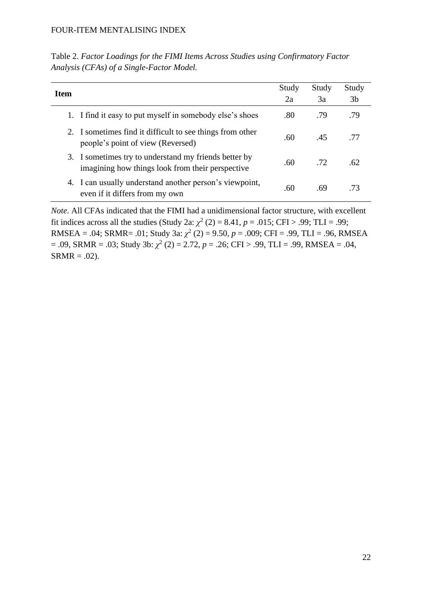| Table 2. Factor Loadings for the FIMI Items Across Studies using Confirmatory Factor |  |
|--------------------------------------------------------------------------------------|--|
| Analysis (CFAs) of a Single-Factor Model.                                            |  |

| Item |                                                                                                           | Study | Study | Study          |
|------|-----------------------------------------------------------------------------------------------------------|-------|-------|----------------|
|      |                                                                                                           | 2a    | 3a    | 3 <sub>b</sub> |
|      | 1. I find it easy to put myself in somebody else's shoes                                                  | .80   | .79   | .79            |
|      | 2. I sometimes find it difficult to see things from other<br>people's point of view (Reversed)            | .60   | .45   | .77            |
|      | 3. I sometimes try to understand my friends better by<br>imagining how things look from their perspective | .60   | .72   | .62            |
|      | 4. I can usually understand another person's viewpoint,<br>even if it differs from my own                 | .60   | .69   | .73            |

*Note.* All CFAs indicated that the FIMI had a unidimensional factor structure, with excellent fit indices across all the studies (Study 2a:  $\chi^2$  (2) = 8.41, *p* = .015; CFI > .99; TLI = .99; RMSEA = .04; SRMR= .01; Study 3a:  $\chi^2$  (2) = 9.50,  $p = .009$ ; CFI = .99, TLI = .96, RMSEA  $= .09$ , SRMR  $= .03$ ; Study 3b:  $\chi^2$  (2)  $= 2.72$ ,  $p = .26$ ; CFI > .99, TLI  $= .99$ , RMSEA  $= .04$ ,  $SRMR = .02$ ).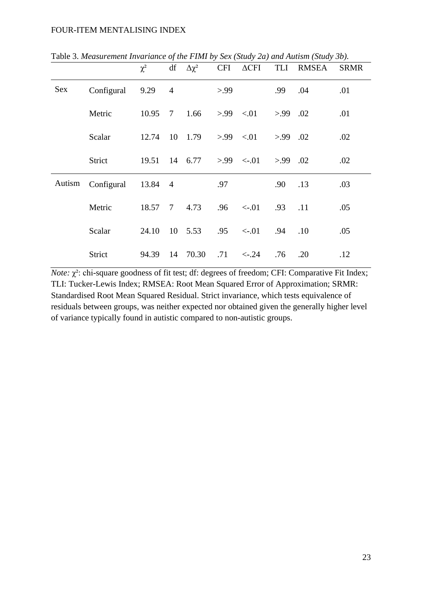|        |            | $\chi^2$ |                 | $df \Delta \chi^2$                                 |            |                         |            | CFI ACFI TLI RMSEA | <b>SRMR</b> |
|--------|------------|----------|-----------------|----------------------------------------------------|------------|-------------------------|------------|--------------------|-------------|
| Sex    | Configural | 9.29     | $\overline{4}$  |                                                    | > 99       |                         | .99        | .04                | .01         |
|        | Metric     | 10.95    | $\overline{7}$  | 1.66                                               |            | $>99$ <.01              | $> 99$ .02 |                    | .01         |
|        | Scalar     | 12.74    |                 | 10 1.79                                            | $>99$ <.01 |                         | >99        | .02                | .02         |
|        | Strict     |          |                 | $19.51 \quad 14 \quad 6.77 \quad >.99 \quad < .01$ |            |                         | $> 99$ .02 |                    | .02         |
| Autism | Configural | 13.84 4  |                 |                                                    | .97        |                         | .90        | .13                | .03         |
|        | Metric     | 18.57    | $7\overline{ }$ | 4.73                                               | .96        | $\langle -0.01 \rangle$ | .93        | .11                | .05         |
|        | Scalar     | 24.10    |                 | 10 5.53                                            | .95        | $<-.01$                 | .94        | .10                | .05         |
|        | Strict     | 94.39    | 14              | 70.30                                              | .71        | $\leftarrow 24$         | .76        | .20                | .12         |

Table 3. *Measurement Invariance of the FIMI by Sex (Study 2a) and Autism (Study 3b).*

*Note:* χ²: chi-square goodness of fit test; df: degrees of freedom; CFI: Comparative Fit Index; TLI: Tucker-Lewis Index; RMSEA: Root Mean Squared Error of Approximation; SRMR: Standardised Root Mean Squared Residual. Strict invariance, which tests equivalence of residuals between groups, was neither expected nor obtained given the generally higher level of variance typically found in autistic compared to non-autistic groups.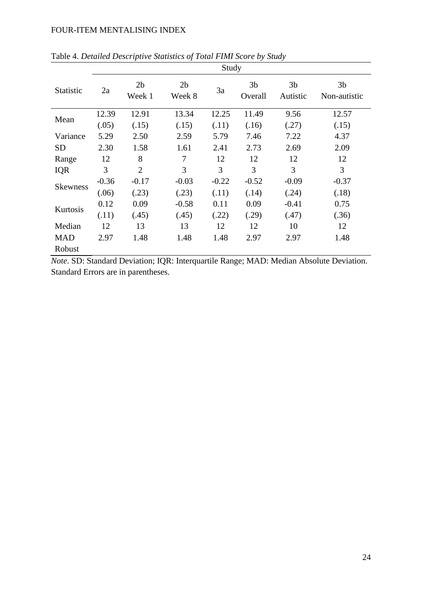|                  | Study   |                          |                          |         |                           |                            |                                |  |
|------------------|---------|--------------------------|--------------------------|---------|---------------------------|----------------------------|--------------------------------|--|
| <b>Statistic</b> | 2a      | 2 <sub>b</sub><br>Week 1 | 2 <sub>b</sub><br>Week 8 | 3a      | 3 <sub>b</sub><br>Overall | 3 <sub>b</sub><br>Autistic | 3 <sub>b</sub><br>Non-autistic |  |
| Mean             | 12.39   | 12.91                    | 13.34                    | 12.25   | 11.49                     | 9.56                       | 12.57                          |  |
|                  | (.05)   | (.15)                    | (.15)                    | (.11)   | (.16)                     | (.27)                      | (.15)                          |  |
| Variance         | 5.29    | 2.50                     | 2.59                     | 5.79    | 7.46                      | 7.22                       | 4.37                           |  |
| SD               | 2.30    | 1.58                     | 1.61                     | 2.41    | 2.73                      | 2.69                       | 2.09                           |  |
| Range            | 12      | 8                        | 7                        | 12      | 12                        | 12                         | 12                             |  |
| <b>IQR</b>       | 3       | $\overline{2}$           | 3                        | 3       | 3                         | 3                          | 3                              |  |
| <b>Skewness</b>  | $-0.36$ | $-0.17$                  | $-0.03$                  | $-0.22$ | $-0.52$                   | $-0.09$                    | $-0.37$                        |  |
|                  | (.06)   | (.23)                    | (.23)                    | (.11)   | (.14)                     | (.24)                      | (.18)                          |  |
|                  | 0.12    | 0.09                     | $-0.58$                  | 0.11    | 0.09                      | $-0.41$                    | 0.75                           |  |
| Kurtosis         | (.11)   | (.45)                    | (.45)                    | (.22)   | (.29)                     | (.47)                      | (.36)                          |  |
| Median           | 12      | 13                       | 13                       | 12      | 12                        | 10                         | 12                             |  |
| <b>MAD</b>       | 2.97    | 1.48                     | 1.48                     | 1.48    | 2.97                      | 2.97                       | 1.48                           |  |
| Robust           |         |                          |                          |         |                           |                            |                                |  |

Table 4. *Detailed Descriptive Statistics of Total FIMI Score by Study*

*Note*. SD: Standard Deviation; IQR: Interquartile Range; MAD: Median Absolute Deviation. Standard Errors are in parentheses.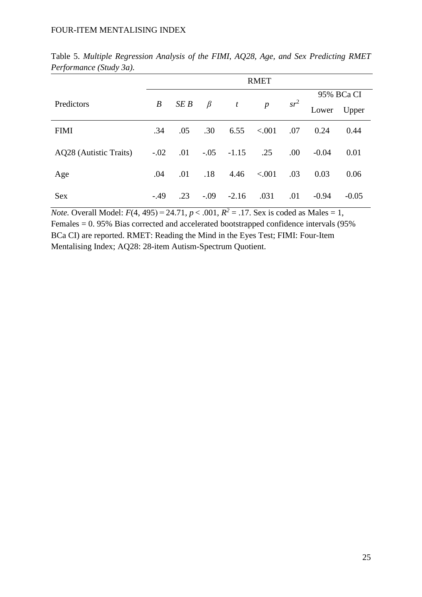|                        | <b>RMET</b> |      |         |              |                |        |         |            |
|------------------------|-------------|------|---------|--------------|----------------|--------|---------|------------|
|                        |             |      |         |              |                |        |         | 95% BCa CI |
| Predictors             | B           | SE B | $\beta$ | t            | $\overline{p}$ | $sr^2$ | Lower   | Upper      |
| <b>FIMI</b>            | .34         | .05  | .30     | 6.55         | < .001         | .07    | 0.24    | 0.44       |
| AQ28 (Autistic Traits) | $-.02$      | .01  |         | $-.05 -1.15$ | .25            | .00    | $-0.04$ | 0.01       |
| Age                    | .04         | .01  | .18     | 4.46         | < .001         | .03    | 0.03    | 0.06       |
| Sex                    | $-.49$      | .23  | $-.09$  | $-2.16$      | .031           | .01    | $-0.94$ | $-0.05$    |

Table 5. *Multiple Regression Analysis of the FIMI, AQ28, Age, and Sex Predicting RMET Performance (Study 3a).*

*Note.* Overall Model:  $F(4, 495) = 24.71$ ,  $p < .001$ ,  $R^2 = .17$ . Sex is coded as Males = 1, Females = 0. 95% Bias corrected and accelerated bootstrapped confidence intervals (95% BCa CI) are reported. RMET: Reading the Mind in the Eyes Test; FIMI: Four-Item Mentalising Index; AQ28: 28-item Autism-Spectrum Quotient.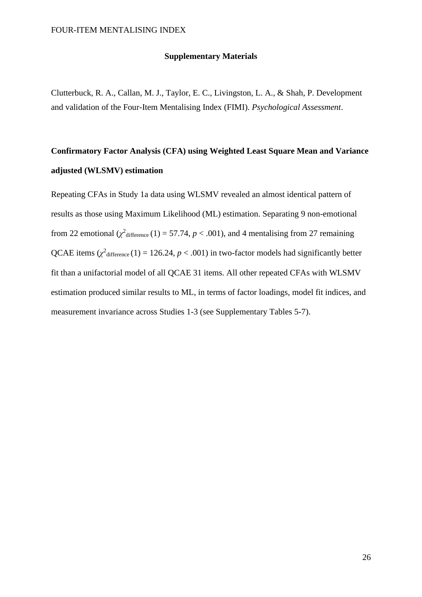### **Supplementary Materials**

Clutterbuck, R. A., Callan, M. J., Taylor, E. C., Livingston, L. A., & Shah, P. Development and validation of the Four-Item Mentalising Index (FIMI). *Psychological Assessment*.

# **Confirmatory Factor Analysis (CFA) using Weighted Least Square Mean and Variance adjusted (WLSMV) estimation**

Repeating CFAs in Study 1a data using WLSMV revealed an almost identical pattern of results as those using Maximum Likelihood (ML) estimation. Separating 9 non-emotional from 22 emotional  $(\chi^2)$  difference (1) = 57.74, *p* < .001), and 4 mentalising from 27 remaining QCAE items  $(\chi^2)$  difference (1) = 126.24, *p* < .001) in two-factor models had significantly better fit than a unifactorial model of all QCAE 31 items. All other repeated CFAs with WLSMV estimation produced similar results to ML, in terms of factor loadings, model fit indices, and measurement invariance across Studies 1-3 (see Supplementary Tables 5-7).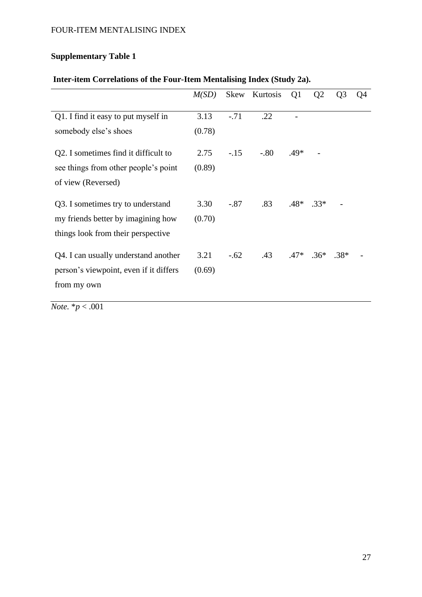# **Supplementary Table 1**

# **Inter-item Correlations of the Four-Item Mentalising Index (Study 2a).**

|                                        | M(SD)  | Skew   | Kurtosis                   | Q <sub>1</sub> | Q <sub>2</sub> | Q <sub>3</sub> | Q4 |
|----------------------------------------|--------|--------|----------------------------|----------------|----------------|----------------|----|
| Q1. I find it easy to put myself in    | 3.13   | $-.71$ | .22                        |                |                |                |    |
| somebody else's shoes                  | (0.78) |        |                            |                |                |                |    |
| Q2. I sometimes find it difficult to   | 2.75   | $-.15$ | $-0.80$                    | $.49*$         |                |                |    |
| see things from other people's point   | (0.89) |        |                            |                |                |                |    |
| of view (Reversed)                     |        |        |                            |                |                |                |    |
| Q3. I sometimes try to understand      | 3.30   | $-.87$ | .83                        |                | $.48*$ .33*    |                |    |
| my friends better by imagining how     | (0.70) |        |                            |                |                |                |    |
| things look from their perspective     |        |        |                            |                |                |                |    |
| Q4. I can usually understand another   | 3.21   | $-.62$ | $.43$ $.47*$ $.36*$ $.38*$ |                |                |                |    |
| person's viewpoint, even if it differs | (0.69) |        |                            |                |                |                |    |
| from my own                            |        |        |                            |                |                |                |    |
|                                        |        |        |                            |                |                |                |    |

*Note.* \**p* < .001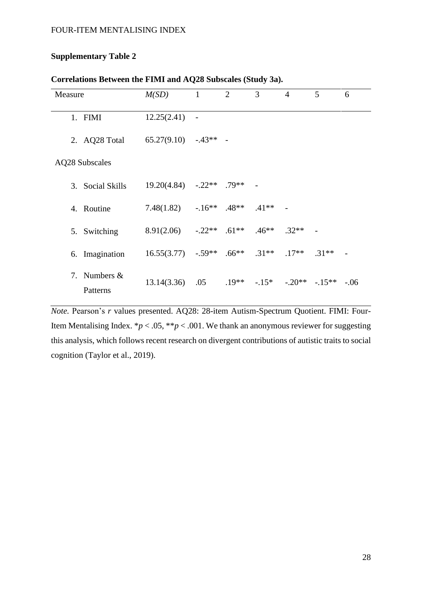## **Supplementary Table 2**

| Measure |                          | M(SD)       | $\mathbf{1}$             | $\overline{2}$ | 3       | $\overline{4}$  | 5       | 6      |
|---------|--------------------------|-------------|--------------------------|----------------|---------|-----------------|---------|--------|
|         | 1. FIMI                  | 12.25(2.41) | $\overline{\phantom{a}}$ |                |         |                 |         |        |
|         | 2. AQ28 Total            | 65.27(9.10) | $-43**$                  |                |         |                 |         |        |
|         | <b>AQ28 Subscales</b>    |             |                          |                |         |                 |         |        |
| 3.      | <b>Social Skills</b>     | 19.20(4.84) | $-.22**$                 | $.79**$        |         |                 |         |        |
|         | 4. Routine               | 7.48(1.82)  | $-16**$                  | $.48**$        | $.41**$ |                 |         |        |
| 5.      | Switching                | 8.91(2.06)  | $-.22**$                 | $.61**$        | $.46**$ | $.32**$         |         |        |
|         | 6. Imagination           | 16.55(3.77) | $-.59**$                 | $.66**$        | $.31**$ | $.17**$ $.31**$ |         |        |
| 7.      | Numbers $\&$<br>Patterns | 13.14(3.36) | .05                      | $.19**$        | $-15*$  | $-0.20**$       | $-15**$ | $-.06$ |

## **Correlations Between the FIMI and AQ28 Subscales (Study 3a).**

*Note.* Pearson's *r* values presented. AQ28: 28-item Autism-Spectrum Quotient. FIMI: Four-Item Mentalising Index.  $*p < .05$ ,  $**p < .001$ . We thank an anonymous reviewer for suggesting this analysis, which follows recent research on divergent contributions of autistic traits to social cognition (Taylor et al., 2019).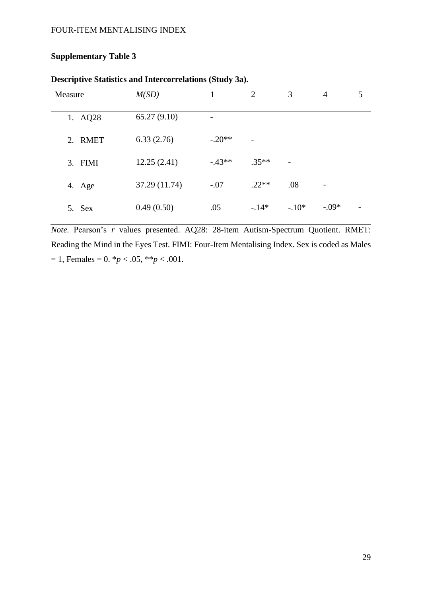# **Supplementary Table 3**

| Measure | M(SD)         |                          | $\overline{2}$           | 3                        | $\overline{4}$           | 5 |
|---------|---------------|--------------------------|--------------------------|--------------------------|--------------------------|---|
| 1. AQ28 | 65.27(9.10)   | $\overline{\phantom{a}}$ |                          |                          |                          |   |
| 2. RMET | 6.33(2.76)    | $-.20**$                 | $\overline{\phantom{0}}$ |                          |                          |   |
| 3. FIMI | 12.25(2.41)   | $-43**$                  | $.35**$                  | $\overline{\phantom{a}}$ |                          |   |
| 4. Age  | 37.29 (11.74) | $-.07$                   | $.22**$                  | .08                      | $\overline{\phantom{a}}$ |   |
| 5. Sex  | 0.49(0.50)    | .05                      | $-14*$                   | $-10*$                   | $-.09*$                  |   |

# **Descriptive Statistics and Intercorrelations (Study 3a).**

*Note.* Pearson's *r* values presented. AQ28: 28-item Autism-Spectrum Quotient. RMET: Reading the Mind in the Eyes Test. FIMI: Four-Item Mentalising Index. Sex is coded as Males  $= 1$ , Females  $= 0.$   $\frac{p}{6}$  < .05,  $\frac{p}{6}$  < .001.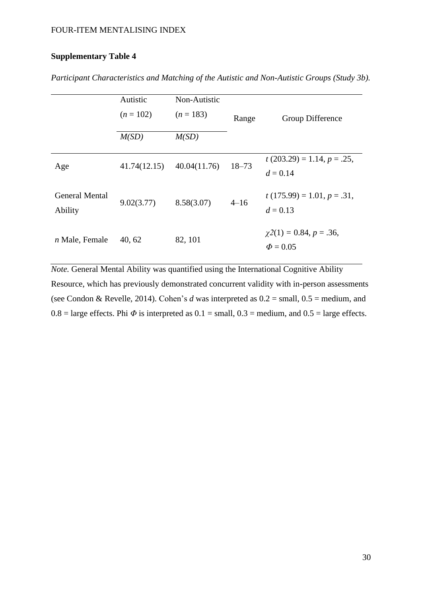# **Supplementary Table 4**

|                                  | Autistic<br>$(n = 102)$ | Non-Autistic<br>$(n = 183)$ | Range     | Group Difference                            |
|----------------------------------|-------------------------|-----------------------------|-----------|---------------------------------------------|
|                                  | M(SD)                   | M(SD)                       |           |                                             |
| Age                              | 41.74(12.15)            | 40.04(11.76)                | $18 - 73$ | $t(203.29) = 1.14, p = .25,$<br>$d = 0.14$  |
| <b>General Mental</b><br>Ability | 9.02(3.77)              | 8.58(3.07)                  | $4 - 16$  | $t(175.99) = 1.01, p = .31,$<br>$d = 0.13$  |
| $n$ Male, Female                 | 40, 62                  | 82, 101                     |           | $\chi(1) = 0.84, p = .36,$<br>$\Phi = 0.05$ |

*Participant Characteristics and Matching of the Autistic and Non-Autistic Groups (Study 3b).*

*Note.* General Mental Ability was quantified using the International Cognitive Ability Resource, which has previously demonstrated concurrent validity with in-person assessments (see Condon & Revelle, 2014). Cohen's *d* was interpreted as 0.2 = small, 0.5 = medium, and 0.8 = large effects. Phi  $\Phi$  is interpreted as 0.1 = small, 0.3 = medium, and 0.5 = large effects.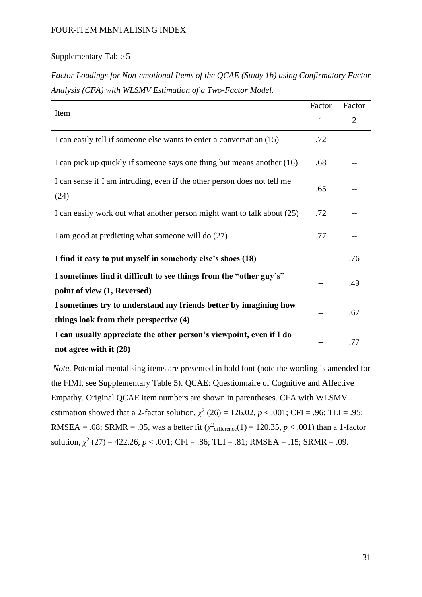### Supplementary Table 5

*Factor Loadings for Non-emotional Items of the QCAE (Study 1b) using Confirmatory Factor Analysis (CFA) with WLSMV Estimation of a Two-Factor Model.*

|                                                                                                   | Factor       | Factor         |
|---------------------------------------------------------------------------------------------------|--------------|----------------|
| Item                                                                                              | $\mathbf{1}$ | $\overline{2}$ |
| I can easily tell if someone else wants to enter a conversation (15)                              | .72          |                |
| I can pick up quickly if someone says one thing but means another (16)                            | .68          |                |
| I can sense if I am intruding, even if the other person does not tell me<br>(24)                  | .65          |                |
| I can easily work out what another person might want to talk about (25)                           | .72          |                |
| I am good at predicting what someone will do (27)                                                 | .77          |                |
| I find it easy to put myself in somebody else's shoes (18)                                        |              | .76            |
| I sometimes find it difficult to see things from the "other guy's"<br>point of view (1, Reversed) |              | .49            |
| I sometimes try to understand my friends better by imagining how                                  |              | .67            |
| things look from their perspective (4)                                                            |              |                |
| I can usually appreciate the other person's viewpoint, even if I do<br>not agree with it (28)     |              | .77            |

*Note.* Potential mentalising items are presented in bold font (note the wording is amended for the FIMI, see Supplementary Table 5). QCAE: Questionnaire of Cognitive and Affective Empathy. Original QCAE item numbers are shown in parentheses. CFA with WLSMV estimation showed that a 2-factor solution,  $\chi^2$  (26) = 126.02, *p* < .001; CFI = .96; TLI = .95; RMSEA = .08; SRMR = .05, was a better fit  $(\chi^2$ difference(1) = 120.35, *p* < .001) than a 1-factor solution,  $\chi^2$  (27) = 422.26, *p* < .001; CFI = .86; TLI = .81; RMSEA = .15; SRMR = .09.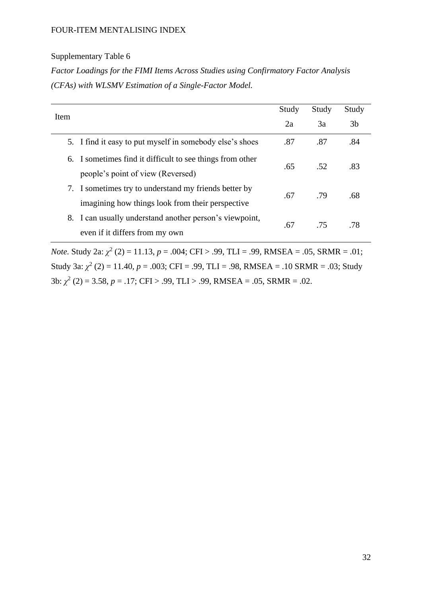## Supplementary Table 6

*Factor Loadings for the FIMI Items Across Studies using Confirmatory Factor Analysis (CFAs) with WLSMV Estimation of a Single-Factor Model.* 

| <b>Item</b>                                                                                               | Study | Study | Study |
|-----------------------------------------------------------------------------------------------------------|-------|-------|-------|
|                                                                                                           | 2a    | 3a    | 3b    |
| 5. I find it easy to put myself in somebody else's shoes                                                  | .87   | .87   | .84   |
| I sometimes find it difficult to see things from other<br>6.<br>people's point of view (Reversed)         | .65   | .52   | .83   |
| 7. I sometimes try to understand my friends better by<br>imagining how things look from their perspective | .67   | .79   | .68   |
| I can usually understand another person's viewpoint,<br>8.<br>even if it differs from my own              | .67   | .75   | .78   |

*Note.* Study 2a:  $\chi^2$  (2) = 11.13, *p* = .004; CFI > .99, TLI = .99, RMSEA = .05, SRMR = .01; Study 3a:  $\chi^2$  (2) = 11.40,  $p = .003$ ; CFI = .99, TLI = .98, RMSEA = .10 SRMR = .03; Study 3b: *χ* 2 (2) = 3.58, *p* = .17; CFI > .99, TLI > .99, RMSEA = .05, SRMR = .02.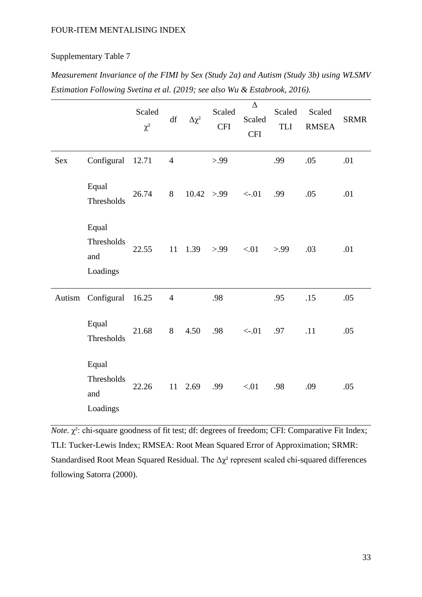### Supplementary Table 7

*Measurement Invariance of the FIMI by Sex (Study 2a) and Autism (Study 3b) using WLSMV Estimation Following Svetina et al. (2019; see also Wu & Estabrook, 2016).*

|        |                                        | Scaled<br>$\chi^2$ | df             | $\Delta \chi^2$ | Scaled<br><b>CFI</b> | $\Delta$<br>Scaled<br><b>CFI</b> | Scaled<br>TLI | Scaled<br><b>RMSEA</b> | <b>SRMR</b> |
|--------|----------------------------------------|--------------------|----------------|-----------------|----------------------|----------------------------------|---------------|------------------------|-------------|
| Sex    | Configural                             | 12.71              | $\overline{4}$ |                 | > 99                 |                                  | .99           | .05                    | .01         |
|        | Equal<br>Thresholds                    | 26.74              | 8              | 10.42 > .99     |                      | $<-.01$                          | .99           | .05                    | .01         |
|        | Equal<br>Thresholds<br>and<br>Loadings | 22.55              | 11             | 1.39            | > 99                 | < 01                             | > 99          | .03                    | .01         |
| Autism | Configural                             | 16.25              | $\overline{4}$ |                 | .98                  |                                  | .95           | .15                    | .05         |
|        | Equal<br>Thresholds                    | 21.68              | 8              | 4.50            | .98                  | $<-.01$                          | .97           | .11                    | .05         |
|        | Equal<br>Thresholds<br>and<br>Loadings | 22.26              | 11             | 2.69            | .99                  | < 01                             | .98           | .09                    | .05         |

*Note.* χ²: chi-square goodness of fit test; df: degrees of freedom; CFI: Comparative Fit Index; TLI: Tucker-Lewis Index; RMSEA: Root Mean Squared Error of Approximation; SRMR: Standardised Root Mean Squared Residual. The  $\Delta \chi^2$  represent scaled chi-squared differences following Satorra (2000).